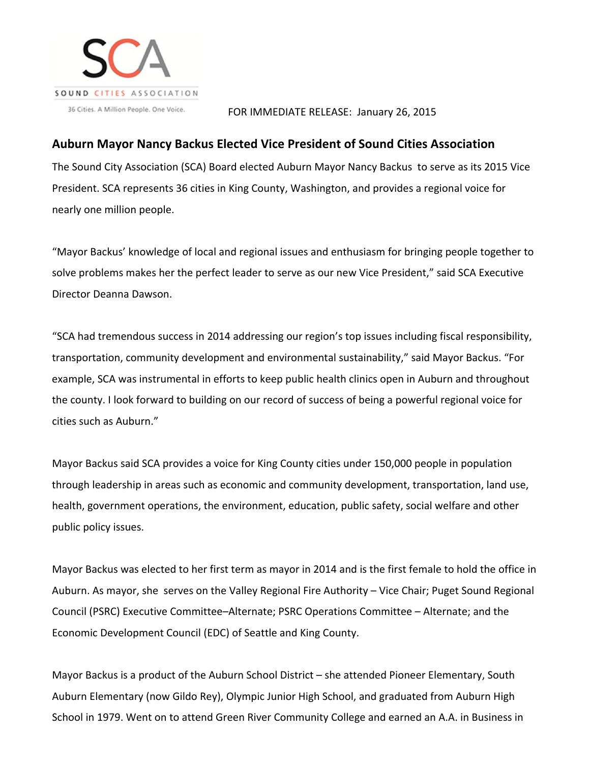

## FOR IMMEDIATE RELEASE: January 26, 2015

## **Auburn Mayor Nancy Backus Elected Vice President of Sound Cities Association**

The Sound City Association (SCA) Board elected Auburn Mayor Nancy Backus to serve as its 2015 Vice President. SCA represents 36 cities in King County, Washington, and provides a regional voice for nearly one million people.

"Mayor Backus' knowledge of local and regional issues and enthusiasm for bringing people together to solve problems makes her the perfect leader to serve as our new Vice President," said SCA Executive Director Deanna Dawson.

"SCA had tremendous success in 2014 addressing our region's top issues including fiscal responsibility, transportation, community development and environmental sustainability," said Mayor Backus. "For example, SCA was instrumental in efforts to keep public health clinics open in Auburn and throughout the county. I look forward to building on our record of success of being a powerful regional voice for cities such as Auburn."

Mayor Backus said SCA provides a voice for King County cities under 150,000 people in population through leadership in areas such as economic and community development, transportation, land use, health, government operations, the environment, education, public safety, social welfare and other public policy issues.

Mayor Backus was elected to her first term as mayor in 2014 and is the first female to hold the office in Auburn. As mayor, she serves on the Valley Regional Fire Authority – Vice Chair; Puget Sound Regional Council (PSRC) Executive Committee–Alternate; PSRC Operations Committee – Alternate; and the Economic Development Council (EDC) of Seattle and King County.

Mayor Backus is a product of the Auburn School District – she attended Pioneer Elementary, South Auburn Elementary (now Gildo Rey), Olympic Junior High School, and graduated from Auburn High School in 1979. Went on to attend Green River Community College and earned an A.A. in Business in